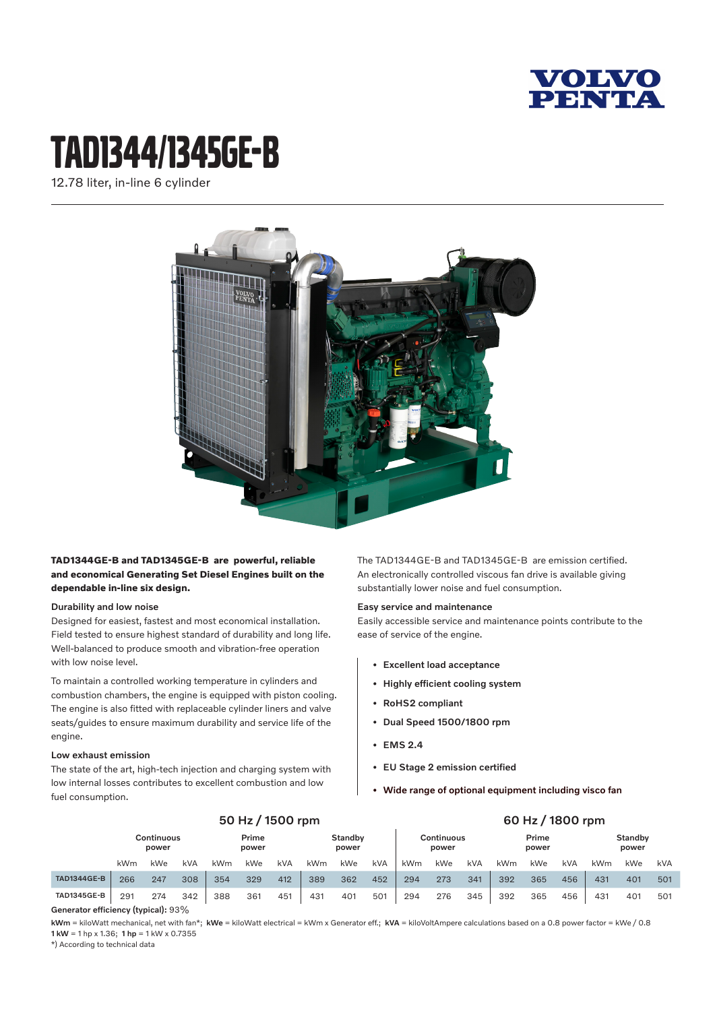

## tAD1344/1345ge-B

12.78 liter, in-line 6 cylinder



#### **TAD1344GE-B and TAD1345GE-B are powerful, reliable and economical Generating Set Diesel Engines built on the dependable in-line six design.**

#### Durability and low noise

Designed for easiest, fastest and most economical installation. Field tested to ensure highest standard of durability and long life. Well-balanced to produce smooth and vibration-free operation with low noise level.

To maintain a controlled working temperature in cylinders and combustion chambers, the engine is equipped with piston cooling. The engine is also fitted with replaceable cylinder liners and valve seats/guides to ensure maximum durability and service life of the engine.

#### Low exhaust emission

The state of the art, high-tech injection and charging system with low internal losses contributes to excellent combustion and low fuel consumption.

The TAD1344GE-B and TAD1345GE-B are emission certified. An electronically controlled viscous fan drive is available giving substantially lower noise and fuel consumption.

#### Easy service and maintenance

Easily accessible service and maintenance points contribute to the ease of service of the engine.

- Excellent load acceptance
- Highly efficient cooling system
- RoHS2 compliant
- Dual Speed 1500/1800 rpm
- EMS 2.4
- EU Stage 2 emission certified
- Wide range of optional equipment including visco fan

|                    | 50 Hz / 1500 rpm                                                                                                                                                                                                                                                                                                                   |     |            |                |            |                  | 60 Hz / 1800 rpm |                     |     |                |     |                  |     |     |     |     |     |     |
|--------------------|------------------------------------------------------------------------------------------------------------------------------------------------------------------------------------------------------------------------------------------------------------------------------------------------------------------------------------|-----|------------|----------------|------------|------------------|------------------|---------------------|-----|----------------|-----|------------------|-----|-----|-----|-----|-----|-----|
|                    | Continuous<br>power                                                                                                                                                                                                                                                                                                                |     |            | Prime<br>power |            | Standby<br>power |                  | Continuous<br>power |     | Prime<br>power |     | Standby<br>power |     |     |     |     |     |     |
|                    | kWm                                                                                                                                                                                                                                                                                                                                | kWe | <b>kVA</b> | kWm            | <b>kWe</b> | <b>kVA</b>       | kWm              | kWe                 | kVA | kWm            | kWe | kVA              | kWm | kWe | kVA | kWm | kWe | kVA |
| <b>TAD1344GE-B</b> | 266                                                                                                                                                                                                                                                                                                                                | 247 | 308        | 354            | 329        | 412              | 389              | 362                 | 452 | 294            | 273 | 341              | 392 | 365 | 456 | 431 | 401 | 501 |
| <b>TAD1345GE-B</b> | 291                                                                                                                                                                                                                                                                                                                                | 274 | 342        | 388            | 361        | 451              | 431              | 401                 | 501 | 294            | 276 | 345              | 392 | 365 | 456 | 431 | 401 | 501 |
| $\sim$             | $\mathbf{L}$ $\mathbf{L}$ $\mathbf{L}$ $\mathbf{L}$ $\mathbf{L}$ $\mathbf{L}$ $\mathbf{L}$ $\mathbf{L}$ $\mathbf{L}$ $\mathbf{L}$ $\mathbf{L}$ $\mathbf{L}$ $\mathbf{L}$ $\mathbf{L}$ $\mathbf{L}$ $\mathbf{L}$ $\mathbf{L}$ $\mathbf{L}$ $\mathbf{L}$ $\mathbf{L}$ $\mathbf{L}$ $\mathbf{L}$ $\mathbf{L}$ $\mathbf{L}$ $\mathbf{$ |     |            |                |            |                  |                  |                     |     |                |     |                  |     |     |     |     |     |     |

Generator efficiency (typical): 93%

kWm = kiloWatt mechanical, net with fan\*; kWe = kiloWatt electrical = kWm x Generator eff.; kVA = kiloVoltAmpere calculations based on a 0.8 power factor = kWe / 0.8 1 kW = 1 hp x 1.36; 1 hp = 1 kW x 0.7355

\*) According to technical data